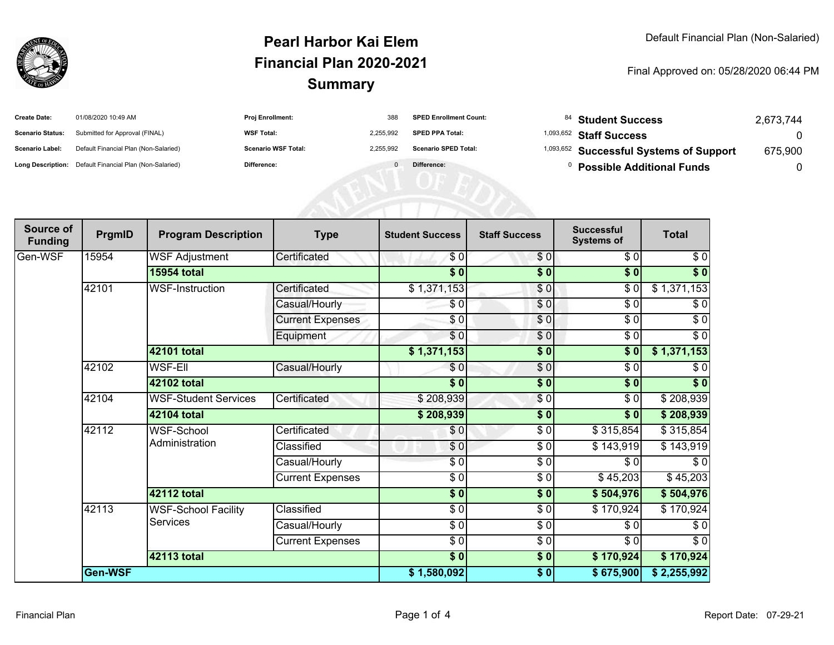

## **SummaryPearl Harbor Kai ElemFinancial Plan 2020-2021**

Final Approved on: 05/28/2020 06:44 PM

| <b>Create Date:</b>     | 01/08/2020 10:49 AM                                     | <b>Proj Enrollment:</b>    | 388       | <b>SPED Enrollment Count:</b> | <sup>84</sup> Student Success                      | 2.673.744 |
|-------------------------|---------------------------------------------------------|----------------------------|-----------|-------------------------------|----------------------------------------------------|-----------|
| <b>Scenario Status:</b> | Submitted for Approval (FINAL)                          | <b>WSF Total:</b>          | 2.255.992 | <b>SPED PPA Total:</b>        | <sup>1,093,652</sup> Staff Success                 |           |
| Scenario Label:         | Default Financial Plan (Non-Salaried)                   | <b>Scenario WSF Total:</b> | 2.255.992 | <b>Scenario SPED Total:</b>   | <sup>1,093,652</sup> Successful Systems of Support | 675,900   |
|                         | Long Description: Default Financial Plan (Non-Salaried) | Difference:                |           | Difference:                   | <b>Possible Additional Funds</b>                   |           |

| Source of<br><b>Funding</b> | PrgmID  | <b>Program Description</b>             | <b>Type</b>             | <b>Student Success</b> | <b>Staff Success</b> | <b>Successful</b><br><b>Systems of</b> | <b>Total</b> |
|-----------------------------|---------|----------------------------------------|-------------------------|------------------------|----------------------|----------------------------------------|--------------|
| Gen-WSF                     | 15954   | <b>WSF Adjustment</b>                  | Certificated            | \$0                    | \$0                  | $\sqrt{6}$                             | $\sqrt{6}$   |
|                             |         | <b>15954 total</b>                     |                         | $\overline{\$0}$       | $\overline{\$0}$     | $\overline{\$0}$                       | $\sqrt[6]{}$ |
|                             | 42101   | <b>WSF-Instruction</b>                 | Certificated            | \$1,371,153            | \$0                  | \$0                                    | \$1,371,153  |
|                             |         |                                        | Casual/Hourly           | \$0                    | $\frac{6}{3}$        | $\sqrt{6}$                             | \$0          |
|                             |         |                                        | <b>Current Expenses</b> | $\sqrt{6}$             | $\frac{6}{3}$        | \$0                                    | $\sqrt{6}$   |
|                             |         |                                        | Equipment               | $\frac{6}{3}$          | $\frac{6}{6}$        | $\sqrt{6}$                             | $\sqrt{6}$   |
|                             |         | <b>42101 total</b>                     |                         | \$1,371,153            | $\sqrt{6}$           | \$0                                    | \$1,371,153  |
|                             | 42102   | <b>WSF-Ell</b>                         | Casual/Hourly           | \$0                    | $\frac{6}{9}$        | \$0                                    | \$0          |
|                             |         | 42102 total                            |                         | $\frac{1}{6}$          | $\frac{1}{6}$        | \$0                                    | $\sqrt[6]{}$ |
|                             | 42104   | <b>WSF-Student Services</b>            | Certificated            | \$208,939              | $\sqrt{6}$           | \$0                                    | \$208,939    |
|                             |         | 42104 total                            |                         | \$208,939              | \$0                  | \$0                                    | \$208,939    |
|                             | 42112   | <b>WSF-School</b><br>Administration    | Certificated            | \$0                    | \$ 0                 | \$315,854                              | \$315,854    |
|                             |         |                                        | Classified              | $\frac{6}{3}$          | $\sqrt{6}$           | \$143,919                              | \$143,919    |
|                             |         |                                        | Casual/Hourly           | $\frac{6}{3}$          | $\sqrt{6}$           | \$0                                    | \$0          |
|                             |         |                                        | <b>Current Expenses</b> | \$0                    | \$0                  | \$45,203                               | \$45,203     |
|                             |         | 42112 total                            |                         | $\overline{\$0}$       | \$0                  | \$504,976                              | \$504,976    |
|                             | 42113   | <b>WSF-School Facility</b><br>Services | Classified              | $\frac{1}{6}$          | $\frac{3}{2}$        | \$170,924                              | \$170,924    |
|                             |         |                                        | Casual/Hourly           | \$0                    | $\sqrt{6}$           | \$0                                    | $\sqrt{6}$   |
|                             |         |                                        | <b>Current Expenses</b> | $\frac{3}{2}$          | $\frac{3}{2}$        | $\sqrt{6}$                             | $\sqrt{6}$   |
|                             |         | <b>42113 total</b>                     |                         |                        | \$0                  | \$170,924                              | \$170,924    |
|                             | Gen-WSF |                                        |                         | \$1,580,092            | $\sqrt{6}$           | \$675,900                              | \$2,255,992  |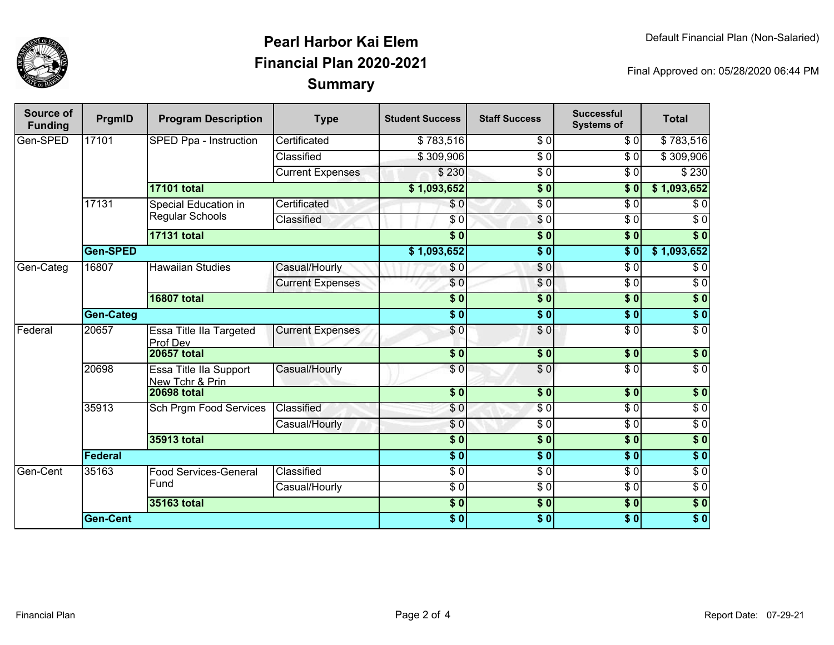

## **SummaryPearl Harbor Kai ElemFinancial Plan 2020-2021**

Final Approved on: 05/28/2020 06:44 PM

| Source of<br><b>Funding</b> | PrgmID           | <b>Program Description</b>                | <b>Type</b>             | <b>Student Success</b> | <b>Staff Success</b> | <b>Successful</b><br><b>Systems of</b> | <b>Total</b>     |            |
|-----------------------------|------------------|-------------------------------------------|-------------------------|------------------------|----------------------|----------------------------------------|------------------|------------|
| Gen-SPED                    | 17101            | SPED Ppa - Instruction                    | Certificated            | \$783,516              | \$0                  | \$0                                    | \$783,516        |            |
|                             |                  |                                           | Classified              | \$309,906              | $\overline{\$0}$     | $\overline{\$0}$                       | \$309,906        |            |
|                             |                  |                                           | <b>Current Expenses</b> | \$230                  | $\overline{\$0}$     | \$0                                    | \$230            |            |
|                             |                  | <b>17101 total</b>                        |                         | \$1,093,652            | $\overline{\$0}$     | $\overline{\$0}$                       | \$1,093,652      |            |
|                             | 17131            | Special Education in                      | Certificated            | \$0                    | $\overline{\$0}$     | $\overline{\$0}$                       | \$0              |            |
|                             |                  | <b>Regular Schools</b>                    | Classified              | \$0                    | \$0                  | \$0                                    | $\sqrt{6}$       |            |
|                             |                  | <b>17131 total</b>                        |                         | s <sub>0</sub>         | \$0                  | $\overline{\$0}$                       | $\overline{\$0}$ |            |
|                             | Gen-SPED         |                                           |                         | \$1,093,652            | $\overline{\$0}$     | $\overline{\$0}$                       | \$1,093,652      |            |
| Gen-Categ                   | 16807            |                                           | <b>Hawaiian Studies</b> | Casual/Hourly          | \$0                  | \$0                                    | $\overline{\$0}$ | $\sqrt{6}$ |
|                             |                  |                                           | <b>Current Expenses</b> | \$0                    | \$0                  | \$0                                    | $\sqrt{6}$       |            |
|                             |                  | <b>16807 total</b>                        |                         | $\overline{\$0}$       | $\overline{\$0}$     | $\overline{\$0}$                       | $\overline{\$0}$ |            |
|                             | <b>Gen-Categ</b> |                                           |                         | $\overline{\$0}$       | $\overline{\$0}$     | $\overline{\$0}$                       | $\overline{\$0}$ |            |
| Federal                     | 20657            | Essa Title IIa Targeted<br>Prof Dev       | <b>Current Expenses</b> | \$0                    | \$0                  | $\overline{\$0}$                       | $\sqrt{6}$       |            |
|                             |                  | <b>20657 total</b>                        |                         | $\overline{\$0}$       | \$0                  | $\overline{\$0}$                       | $\sqrt{6}$       |            |
|                             | 20698            | Essa Title IIa Support<br>New Tchr & Prin | Casual/Hourly           | $\overline{S}0$        | $\overline{\$0}$     | $\overline{\$0}$                       | $\overline{\$0}$ |            |
|                             |                  | <b>20698 total</b>                        |                         | $\overline{\$0}$       | $\overline{\$0}$     | $\overline{\$0}$                       | \$0              |            |
|                             | 35913            | <b>Sch Prgm Food Services</b>             | Classified              | \$0                    | \$0                  | $\sqrt{6}$                             | $\overline{\$0}$ |            |
|                             |                  |                                           | Casual/Hourly           | \$0                    | $\sqrt{6}$           | $\sqrt{6}$                             | $\sqrt{6}$       |            |
|                             |                  | <b>35913 total</b>                        |                         | \$0                    | $\sqrt{6}$           | $\overline{\$0}$                       | $\sqrt{6}$       |            |
|                             | Federal          |                                           |                         | $\overline{\bullet}$ 0 | $\overline{\$0}$     | $\overline{\$0}$                       | \$0              |            |
| Gen-Cent                    | 35163            | Food Services-General<br>Fund             | Classified              | $\sqrt{6}$             | $\sqrt{6}$           | $\overline{S}0$                        | $\overline{30}$  |            |
|                             |                  |                                           | Casual/Hourly           | $\sqrt{6}$             | $\sqrt{6}$           | $\sqrt{6}$                             | $\sqrt{6}$       |            |
|                             |                  | 35163 total                               |                         | $\overline{\$0}$       | $\overline{\$0}$     | $\overline{\$0}$                       | \$0              |            |
|                             | <b>Gen-Cent</b>  |                                           |                         | $\overline{\$0}$       | $\overline{\$0}$     | \$0                                    | $\overline{\$0}$ |            |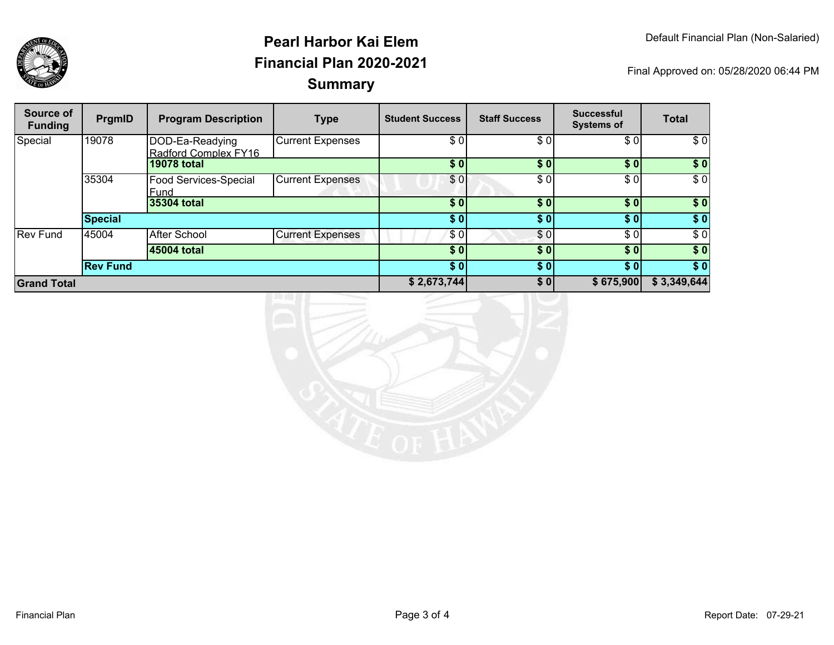

## **SummaryPearl Harbor Kai ElemFinancial Plan 2020-2021**

Final Approved on: 05/28/2020 06:44 PM

| Source of<br><b>Funding</b> | PrgmID          | <b>Program Description</b>              | <b>Type</b>             | <b>Student Success</b> | <b>Staff Success</b> | <b>Successful</b><br><b>Systems of</b> | <b>Total</b> |
|-----------------------------|-----------------|-----------------------------------------|-------------------------|------------------------|----------------------|----------------------------------------|--------------|
| Special                     | 19078           | DOD-Ea-Readying<br>Radford Complex FY16 | <b>Current Expenses</b> | \$0                    | \$0                  | \$0                                    | \$0          |
|                             |                 | <b>19078 total</b>                      |                         | \$0                    | \$0                  | \$0]                                   | \$0          |
|                             | 35304           | Food Services-Special<br>Fund           | <b>Current Expenses</b> | \$0                    | \$0                  | \$0]                                   | \$0          |
|                             |                 | 35304 total                             |                         | \$0                    | \$0                  | \$0                                    | \$0          |
|                             | <b>Special</b>  |                                         |                         | \$0                    | \$0                  | \$0 <sub>1</sub>                       | \$0          |
| <b>Rev Fund</b>             | 45004           | <b>After School</b>                     | <b>Current Expenses</b> | \$0                    | \$0                  | \$0                                    | \$0          |
|                             |                 | 45004 total                             |                         | \$0                    | \$0                  | \$0                                    | \$0          |
|                             | <b>Rev Fund</b> |                                         |                         | \$0                    | \$0                  | \$0                                    | \$0          |
| <b>Grand Total</b>          |                 |                                         | \$2,673,744             | \$0                    | \$675,900            | \$3,349,644                            |              |